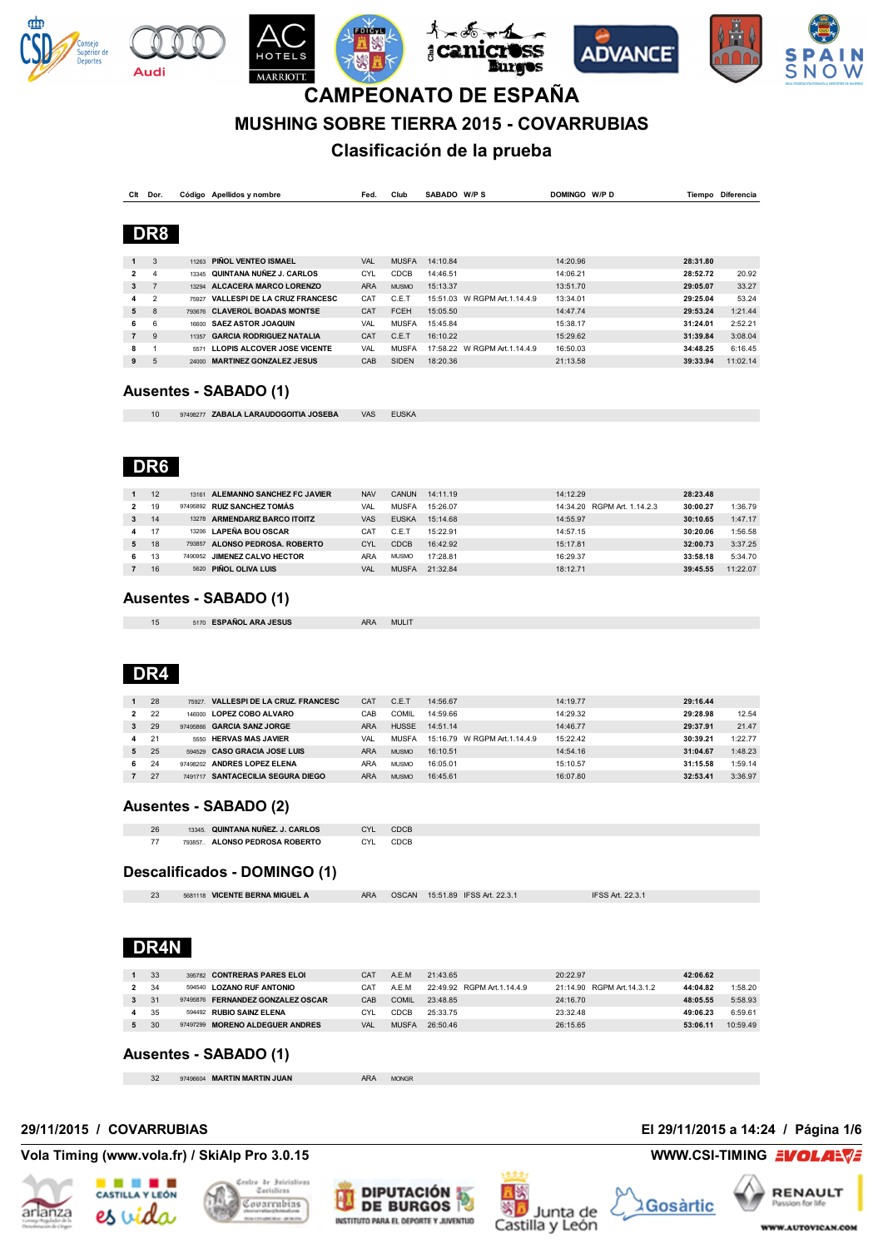











## **MUSHING SOBRE TIERRA 2015 - COVARRUBIAS**

## **Clasificación de la prueba**

| Clt            | Dor.           |       | Código Apellidos y nombre           | Fed.       | Club         | SABADO W/PS |                               | DOMINGO W/PD | Tiempo   | Diferencia |
|----------------|----------------|-------|-------------------------------------|------------|--------------|-------------|-------------------------------|--------------|----------|------------|
|                |                |       |                                     |            |              |             |                               |              |          |            |
|                | DR8            |       |                                     |            |              |             |                               |              |          |            |
|                |                |       |                                     |            |              |             |                               |              |          |            |
| $\mathbf{1}$   | 3              | 11263 | PIÑOL VENTEO ISMAEL                 | <b>VAL</b> | <b>MUSFA</b> | 14:10.84    |                               | 14:20.96     | 28:31.80 |            |
| $\mathbf{2}$   | 4              | 13345 | QUINTANA NUÑEZ J. CARLOS            | CYL        | <b>CDCB</b>  | 14:46.51    |                               | 14:06.21     | 28:52.72 | 20.92      |
| 3              | $\overline{z}$ | 13294 | ALCACERA MARCO LORENZO              | <b>ARA</b> | <b>MUSMO</b> | 15:13.37    |                               | 13:51.70     | 29:05.07 | 33.27      |
| 4              | $\mathfrak{p}$ | 75927 | <b>VALLESPI DE LA CRUZ FRANCESC</b> | CAT        | C.E.T        | 15:51.03    | W RGPM Art. 1.14.4.9          | 13:34.01     | 29:25.04 | 53.24      |
| 5              | $\mathbf{8}$   |       | 793676 CLAVEROL BOADAS MONTSE       | CAT        | <b>FCEH</b>  | 15:05.50    |                               | 14:47.74     | 29:53.24 | 1:21.44    |
| 6              | 6              | 16600 | <b>SAEZ ASTOR JOAQUIN</b>           | VAL        | <b>MUSFA</b> | 15:45.84    |                               | 15:38.17     | 31:24.01 | 2:52.21    |
| $\overline{7}$ | 9              | 11357 | <b>GARCIA RODRIGUEZ NATALIA</b>     | CAT        | C.E.T        | 16:10.22    |                               | 15:29.62     | 31:39.84 | 3:08.04    |
| 8              |                | 5571  | LLOPIS ALCOVER JOSE VICENTE         | <b>VAL</b> | <b>MUSFA</b> |             | 17:58.22 W RGPM Art. 1.14.4.9 | 16:50.03     | 34:48.25 | 6:16.45    |
| 9              | 5              | 24000 | <b>MARTINEZ GONZALEZ JESUS</b>      | CAB        | <b>SIDEN</b> | 18:20.36    |                               | 21:13.58     | 39:33.94 | 11:02.14   |

#### **Ausentes - SABADO (1)**

10 97498277 **ZABALA LARAUDOGOITIA JOSEBA** VAS EUSKA

## **DR6**

**Audi** 

|    | 12 |         | 13161 ALEMANNO SANCHEZ FC JAVIER | <b>NAV</b> | <b>CANUN</b> | 14:11.19 | 14:12.29                    | 28:23.48 |          |
|----|----|---------|----------------------------------|------------|--------------|----------|-----------------------------|----------|----------|
|    | 19 |         | 97495892 RUIZ SANCHEZ TOMÁS      | VAL        | <b>MUSFA</b> | 15:26.07 | 14:34.20 RGPM Art. 1.14.2.3 | 30:00.27 | 1:36.79  |
| 3  | 14 | 13278   | <b>ARMENDARIZ BARCO ITOITZ</b>   | <b>VAS</b> | <b>FUSKA</b> | 15:14.68 | 14:55.97                    | 30:10.65 | 1:47.17  |
| 4  | 17 | 13206   | <b>LAPEÑA BOU OSCAR</b>          | CA1        | C.E.T        | 15:22.91 | 14:57.15                    | 30:20.06 | 1:56.58  |
| 5. | 18 | 793857  | ALONSO PEDROSA, ROBERTO          | CYL        | <b>CDCB</b>  | 16:42.92 | 15:17.81                    | 32:00.73 | 3:37.25  |
| 6  | 13 | 7490952 | <b>JIMENEZ CALVO HECTOR</b>      | ARA        | <b>MUSMO</b> | 17:28.81 | 16:29.37                    | 33:58.18 | 5:34.70  |
|    | 16 | 5620    | PIÑOL OLIVA LUIS                 | VAI        | <b>MUSFA</b> | 21:32.84 | 18:12.71                    | 39:45.55 | 11:22.07 |

#### **Ausentes - SABADO (1)**

| 5170 ESPAÑOL ARA JESUS | MULIT<br><b>ARA</b> |
|------------------------|---------------------|

## **DR4**

|    | 28             | <b>VALLESPI DE LA CRUZ. FRANCESC</b><br>75927 | CAT        | C.E.1        | 14:56.67                     | 14:19.77 | 29:16.44 |         |
|----|----------------|-----------------------------------------------|------------|--------------|------------------------------|----------|----------|---------|
| 2  | 22             | <b>LOPEZ COBO ALVARO</b><br>146000            | CAB        | COMIL        | 14:59.66                     | 14:29.32 | 29:28.98 | 12.54   |
|    | 29             | 97495866 GARCIA SANZ JORGE                    | <b>ARA</b> | <b>HUSSE</b> | 14:51.14                     | 14:46.77 | 29:37.91 | 21.47   |
|    | 2 <sup>1</sup> | <b>HERVAS MAS JAVIER</b><br>5550              | VAI        | <b>MUSFA</b> | 15:16.79 W RGPM Art.1.14.4.9 | 15:22.42 | 30:39.21 | 1:22.77 |
| 5. | 25             | 594529 CASO GRACIA JOSE LUIS                  | <b>ARA</b> | <b>MUSMO</b> | 16:10.51                     | 14:54.16 | 31:04.67 | 1:48.23 |
| 6  | 24             | 97498202 ANDRES LOPEZ ELENA                   | ARA        | <b>MUSMO</b> | 16:05.01                     | 15:10.57 | 31:15.58 | 1:59.14 |
|    | 27             | <b>SANTACECILIA SEGURA DIEGO</b><br>7491717   | <b>ARA</b> | <b>MUSMO</b> | 16:45.61                     | 16:07.80 | 32:53.41 | 3:36.97 |

#### **Ausentes - SABADO (2)**

| 26            | 13345. QUINTANA NUÑEZ. J. CARLOS | CY |  |
|---------------|----------------------------------|----|--|
| $\rightarrow$ | ALONSO PEDROSA ROBERTO<br>793857 | ΓV |  |

### **Descalificados - DOMINGO (1)**

| $\Omega$ | 5681118 VICENTE BERNA MIGUEL A | <b>ARA</b> | OSCAN 15:51.89 IFSS Art. 22.3.1 | <b>IFSS Art. 22.3.1</b> |
|----------|--------------------------------|------------|---------------------------------|-------------------------|
|          |                                |            |                                 |                         |

## **DR4N**

|              | 33   | 395782 CONTRERAS PARES ELOI       | CAT | A.E.M.       | 21:43.65                    | 20:22.97                   | 42:06.62 |          |
|--------------|------|-----------------------------------|-----|--------------|-----------------------------|----------------------------|----------|----------|
| 2            | - 34 | 594540 LOZANO RUF ANTONIO         | CA1 | A.E.M        | 22:49.92 RGPM Art. 1.14.4.9 | 21:14.90 RGPM Art.14.3.1.2 | 44:04.82 | 1:58.20  |
| $\mathbf{3}$ | -31  | 97495876 FERNANDEZ GONZALEZ OSCAR | CAB | COMIL        | 23:48.85                    | 24:16.70                   | 48:05.55 | 5:58.93  |
| 4            | -35  | 594492 RUBIO SAINZ ELENA          | CYL | CDCB         | 25:33.75                    | 23:32.48                   | 49:06.23 | 6:59.61  |
|              | 30   | 97497299 MORENO ALDEGUER ANDRES   | VAL | <b>MUSFA</b> | 26:50.46                    | 26:15.65                   | 53:06.11 | 10:59.49 |

### **Ausentes - SABADO (1)**

| 32 | 97496604 MARTIN MARTIN JUAN | <b>MONGR</b> |  |
|----|-----------------------------|--------------|--|

**Vola Timing (www.vola.fr) / SkiAlp Pro 3.0.15 WWW.CSI-TIMING EVOLAR** 



#### de Boicistions CASTILLA Y LEÓN Ceristins .<br>concrubias es vida





**29/11/2015 / COVARRUBIAS El 29/11/2015 a 14:24 / Página 1/6**

**RENAULT 2**Gosàrtic Passion for life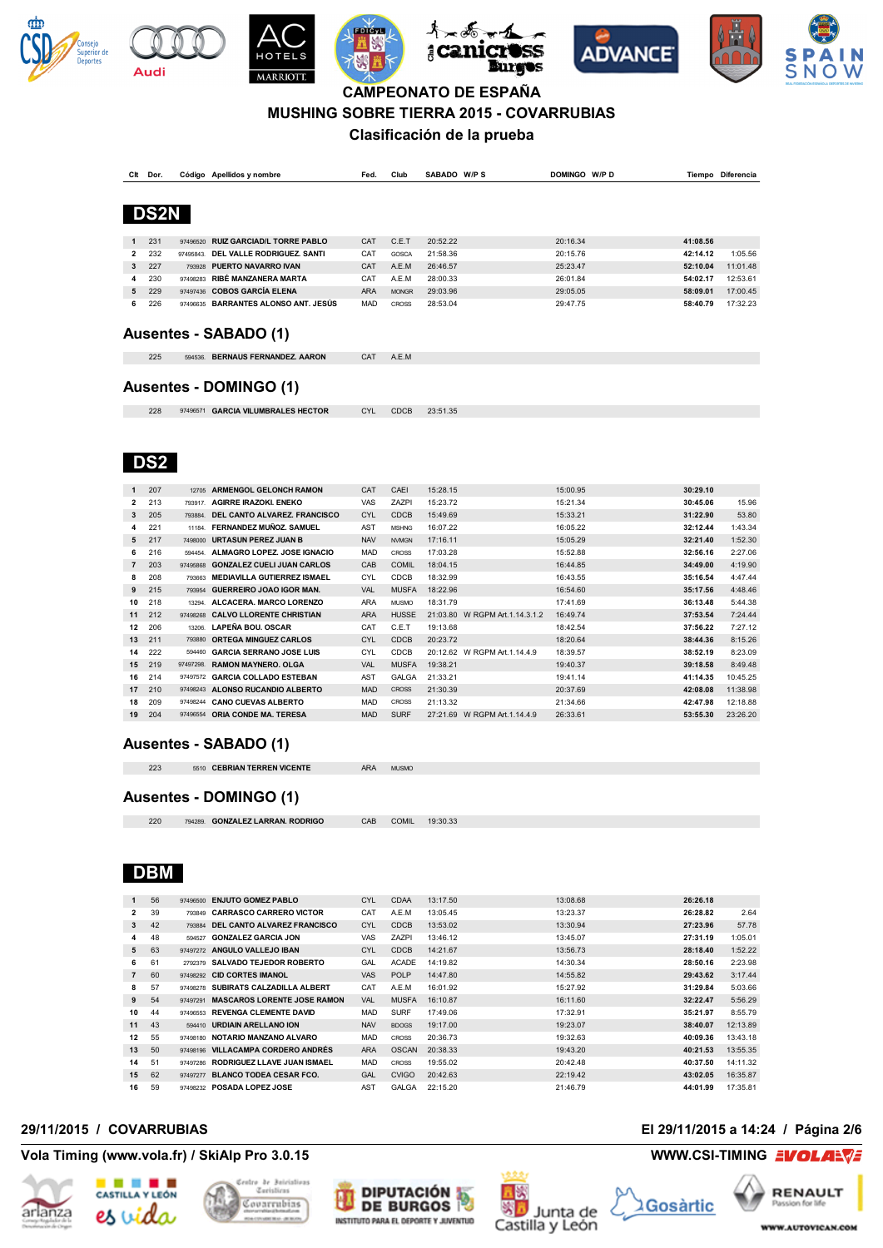











**MUSHING SOBRE TIERRA 2015 - COVARRUBIAS**

### **Clasificación de la prueba**

| Clt          | Dor.        |           | Código Apellidos y nombre            | Fed.       | Club         | SABADO W/P S | DOMINGO W/P D |          | Tiempo Diferencia |
|--------------|-------------|-----------|--------------------------------------|------------|--------------|--------------|---------------|----------|-------------------|
|              |             |           |                                      |            |              |              |               |          |                   |
|              |             |           |                                      |            |              |              |               |          |                   |
|              | <b>DS2N</b> |           |                                      |            |              |              |               |          |                   |
|              |             |           |                                      |            |              |              |               |          |                   |
| 1            | 231         | 97496520  | <b>RUIZ GARCIAD/L TORRE PABLO</b>    | <b>CAT</b> | C.E.T        | 20:52.22     | 20:16.34      | 41:08.56 |                   |
| 2            | 232         | 97495843. | DEL VALLE RODRIGUEZ, SANTI           | CAT        | GOSCA        | 21:58.36     | 20:15.76      | 42:14.12 | 1:05.56           |
| $\mathbf{3}$ | 227         |           | 793928 PUERTO NAVARRO IVAN           | <b>CAT</b> | A.E.M        | 26:46.57     | 25:23.47      | 52:10.04 | 11:01.48          |
| 4            | 230         | 97498283  | RIBÉ MANZANERA MARTA                 | CAT        | A.E.M        | 28:00.33     | 26:01.84      | 54:02.17 | 12:53.61          |
| 5            | 229         |           | 97497436 COBOS GARCÍA ELENA          | <b>ARA</b> | <b>MONGR</b> | 29:03.96     | 29:05.05      | 58:09.01 | 17:00.45          |
| 6            | 226         |           | 97496635 BARRANTES ALONSO ANT. JESÚS | <b>MAD</b> | <b>CROSS</b> | 28:53.04     | 29:47.75      | 58:40.79 | 17:32.23          |
|              |             |           |                                      |            |              |              |               |          |                   |
|              |             |           | Ausentes - SABADO (1)                |            |              |              |               |          |                   |
|              |             |           |                                      |            |              |              |               |          |                   |
|              | 225         | 594536.   | <b>BERNAUS FERNANDEZ. AARON</b>      | <b>CAT</b> | A.E.M        |              |               |          |                   |
|              |             |           |                                      |            |              |              |               |          |                   |

#### **Ausentes - DOMINGO (1)**

97496571 **GARCIA VILUMBRALES HECTOR** CYL CDCB 23:51.35

## **DS2**

**Audi** 

| 1              | 207 | 12705    | <b>ARMENGOL GELONCH RAMON</b>      | CAT        | CAEI         | 15:28.15                           | 15:00.95 | 30:29.10 |          |
|----------------|-----|----------|------------------------------------|------------|--------------|------------------------------------|----------|----------|----------|
| $\overline{2}$ | 213 | 793917.  | <b>AGIRRE IRAZOKI, ENEKO</b>       | <b>VAS</b> | <b>ZAZPI</b> | 15:23.72                           | 15:21.34 | 30:45.06 | 15.96    |
| 3              | 205 | 793884   | DEL CANTO ALVAREZ, FRANCISCO       | CYL        | CDCB         | 15:49.69                           | 15:33.21 | 31:22.90 | 53.80    |
| 4              | 221 | 11184.   | <b>FERNANDEZ MUÑOZ, SAMUEL</b>     | <b>AST</b> | <b>MSHNG</b> | 16:07.22                           | 16:05.22 | 32:12.44 | 1:43.34  |
| 5              | 217 | 7498000  | <b>URTASUN PEREZ JUAN B</b>        | <b>NAV</b> | <b>NVMGN</b> | 17:16.11                           | 15:05.29 | 32:21.40 | 1:52.30  |
| 6              | 216 | 594454   | ALMAGRO LOPEZ, JOSE IGNACIO        | <b>MAD</b> | <b>CROSS</b> | 17:03.28                           | 15:52.88 | 32:56.16 | 2:27.06  |
| 7              | 203 | 97495868 | <b>GONZALEZ CUELI JUAN CARLOS</b>  | CAB        | <b>COMIL</b> | 18:04.15                           | 16:44.85 | 34:49.00 | 4:19.90  |
| 8              | 208 | 793663   | <b>MEDIAVILLA GUTIERREZ ISMAEL</b> | CYL        | CDCB         | 18:32.99                           | 16:43.55 | 35:16.54 | 4:47.44  |
| 9              | 215 | 793954   | GUERREIRO JOAO IGOR MAN.           | VAL        | <b>MUSFA</b> | 18:22.96                           | 16:54.60 | 35:17.56 | 4:48.46  |
| 10             | 218 | 13294    | ALCACERA. MARCO LORENZO            | <b>ARA</b> | <b>MUSMO</b> | 18:31.79                           | 17:41.69 | 36:13.48 | 5:44.38  |
| 11             | 212 | 97498268 | <b>CALVO LLORENTE CHRISTIAN</b>    | <b>ARA</b> | <b>HUSSE</b> | 21:03.80<br>W RGPM Art. 1.14.3.1.2 | 16:49.74 | 37:53.54 | 7:24.44  |
| 12             | 206 | 13206    | <b>LAPEÑA BOU, OSCAR</b>           | CAT        | C.E.T        | 19:13.68                           | 18:42.54 | 37:56.22 | 7:27.12  |
| 13             | 211 | 793880   | <b>ORTEGA MINGUEZ CARLOS</b>       | <b>CYL</b> | <b>CDCB</b>  | 20:23.72                           | 18:20.64 | 38:44.36 | 8:15.26  |
| 14             | 222 | 594460   | <b>GARCIA SERRANO JOSE LUIS</b>    | <b>CYL</b> | CDCB         | W RGPM Art. 1.14.4.9<br>20:12.62   | 18:39.57 | 38:52.19 | 8:23.09  |
| 15             | 219 | 97497298 | <b>RAMON MAYNERO, OLGA</b>         | <b>VAL</b> | <b>MUSFA</b> | 19:38.21                           | 19:40.37 | 39:18.58 | 8:49.48  |
| 16             | 214 | 97497572 | <b>GARCIA COLLADO ESTEBAN</b>      | AST        | <b>GALGA</b> | 21:33.21                           | 19:41.14 | 41:14.35 | 10:45.25 |
| 17             | 210 | 97498243 | ALONSO RUCANDIO ALBERTO            | <b>MAD</b> | <b>CROSS</b> | 21:30.39                           | 20:37.69 | 42:08.08 | 11:38.98 |
| 18             | 209 | 97498244 | <b>CANO CUEVAS ALBERTO</b>         | <b>MAD</b> | <b>CROSS</b> | 21:13.32                           | 21:34.66 | 42:47.98 | 12:18.88 |
| 19             | 204 | 97496554 | ORIA CONDE MA. TERESA              | <b>MAD</b> | <b>SURF</b>  | W RGPM Art. 1.14.4.9<br>27:21.69   | 26:33.61 | 53:55.30 | 23:26.20 |
|                |     |          |                                    |            |              |                                    |          |          |          |

### **Ausentes - SABADO (1)**

| 223 | 5510 CEBRIAN TERREN VICENTE | <b>ARA</b> |              |
|-----|-----------------------------|------------|--------------|
|     |                             |            | <b>MUSMO</b> |

### **Ausentes - DOMINGO (1)**

| 220 | 794289. GONZALEZ LARRAN. RODRIGO | CAB | COMIL | 19:30.33 |  |
|-----|----------------------------------|-----|-------|----------|--|

## **DBM**

| $\mathbf{1}$   | 56 | 97496500 | <b>ENJUTO GOMEZ PABLO</b>          | <b>CYL</b> | <b>CDAA</b>  | 13:17.50 | 13:08.68 | 26:26.18 |          |
|----------------|----|----------|------------------------------------|------------|--------------|----------|----------|----------|----------|
| 2              | 39 | 793849   | <b>CARRASCO CARRERO VICTOR</b>     | CAT        | A.E.M        | 13:05.45 | 13:23.37 | 26:28.82 | 2.64     |
| 3              | 42 | 793884   | DEL CANTO ALVAREZ FRANCISCO        | <b>CYL</b> | <b>CDCB</b>  | 13:53.02 | 13:30.94 | 27:23.96 | 57.78    |
| 4              | 48 | 594527   | <b>GONZALEZ GARCIA JON</b>         | VAS        | <b>ZAZPI</b> | 13:46.12 | 13:45.07 | 27:31.19 | 1:05.01  |
| 5              | 63 | 97497272 | ANGULO VALLEJO IBAN                | <b>CYL</b> | <b>CDCB</b>  | 14:21.67 | 13:56.73 | 28:18.40 | 1:52.22  |
| 6              | 61 | 2792379  | SALVADO TEJEDOR ROBERTO            | GAL        | <b>ACADE</b> | 14:19.82 | 14:30.34 | 28:50.16 | 2:23.98  |
| $\overline{7}$ | 60 | 97498292 | <b>CID CORTES IMANOL</b>           | <b>VAS</b> | <b>POLP</b>  | 14:47.80 | 14:55.82 | 29:43.62 | 3:17.44  |
| 8              | 57 | 97498278 | SUBIRATS CALZADILLA ALBERT         | CAT        | A.E.M        | 16:01.92 | 15:27.92 | 31:29.84 | 5:03.66  |
| 9              | 54 | 97497291 | <b>MASCAROS LORENTE JOSE RAMON</b> | <b>VAL</b> | <b>MUSFA</b> | 16:10.87 | 16:11.60 | 32:22.47 | 5:56.29  |
| 10             | 44 | 97496553 | <b>REVENGA CLEMENTE DAVID</b>      | <b>MAD</b> | <b>SURF</b>  | 17:49.06 | 17:32.91 | 35:21.97 | 8:55.79  |
| 11             | 43 |          | 594410 URDIAIN ARELLANO ION        | <b>NAV</b> | <b>BDOGS</b> | 19:17.00 | 19:23.07 | 38:40.07 | 12:13.89 |
| 12             | 55 | 97498180 | NOTARIO MANZANO ALVARO             | <b>MAD</b> | <b>CROSS</b> | 20:36.73 | 19:32.63 | 40:09.36 | 13:43.18 |
| 13             | 50 | 97498196 | <b>VILLACAMPA CORDERO ANDRÉS</b>   | <b>ARA</b> | <b>OSCAN</b> | 20:38.33 | 19:43.20 | 40:21.53 | 13:55.35 |
| 14             | 51 | 97497286 | RODRIGUEZ LLAVE JUAN ISMAEL        | <b>MAD</b> | <b>CROSS</b> | 19:55.02 | 20:42.48 | 40:37.50 | 14:11.32 |
| 15             | 62 | 97497277 | <b>BLANCO TODEA CESAR FCO.</b>     | GAL        | <b>CVIGO</b> | 20:42.63 | 22:19.42 | 43:02.05 | 16:35.87 |
| 16             | 59 | 97498232 | POSADA LOPEZ JOSE                  | <b>AST</b> | <b>GALGA</b> | 22:15.20 | 21:46.79 | 44:01.99 | 17:35.81 |

#### **Vola Timing (www.vola.fr) / SkiAlp Pro 3.0.15 WWW.CSI-TIMING EVOLAR**











**RENAULT** Gosàrtic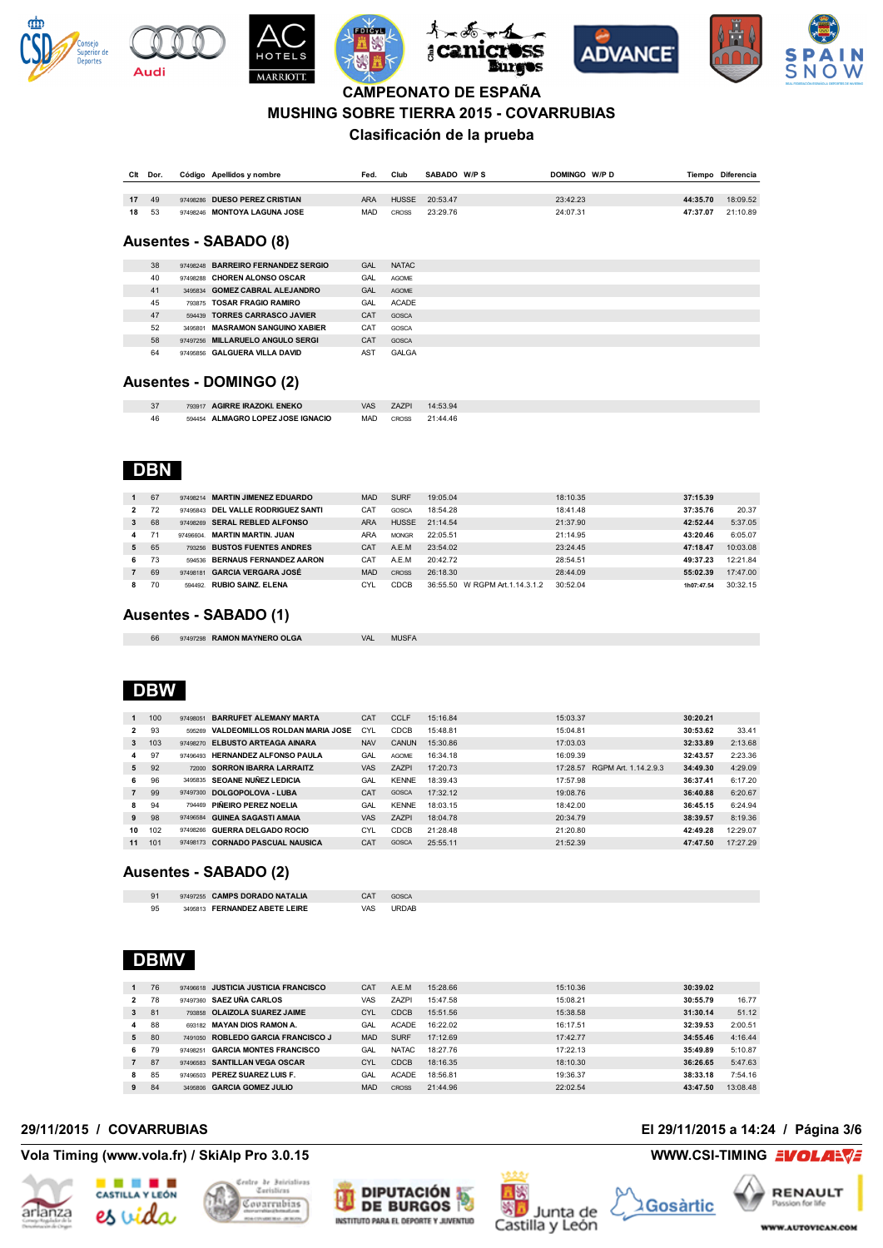











#### **MUSHING SOBRE TIERRA 2015 - COVARRUBIAS**

### **Clasificación de la prueba**

| Clt | Dor. | Código Apellidos y nombre     | Fed.       | Club         | SABADO W/PS | DOMINGO W/PD | Tiempo   | Diferencia |
|-----|------|-------------------------------|------------|--------------|-------------|--------------|----------|------------|
|     |      |                               |            |              |             |              |          |            |
| 17  | 49   | 97498286 DUESO PEREZ CRISTIAN | <b>ARA</b> | <b>HUSSE</b> | 20:53.47    | 23:42.23     | 44:35.70 | 18:09.52   |
| 18  | 53   | 97498246 MONTOYA LAGUNA JOSE  | MAD        | <b>CROSS</b> | 23:29.76    | 24:07.31     | 47:37.07 | 21:10.89   |

#### **Ausentes - SABADO (8)**

| 38 | 97498248 BARREIRO FERNANDEZ SERGIO | <b>GAL</b>      | <b>NATAC</b> |
|----|------------------------------------|-----------------|--------------|
| 40 | 97498288 CHOREN ALONSO OSCAR       | GAL             | <b>AGOME</b> |
| 41 | 3495834 GOMEZ CABRAL ALEJANDRO     | GAL             | <b>AGOME</b> |
| 45 | 793875 TOSAR FRAGIO RAMIRO         | GAL             | <b>ACADE</b> |
| 47 | 594439 TORRES CARRASCO JAVIER      | CAT             | GOSCA        |
| 52 | 3495801 MASRAMON SANGUINO XABIER   | CAT             | GOSCA        |
| 58 | 97497256 MILLARUELO ANGULO SERGI   | CAT             | GOSCA        |
| 64 | 97495856 GALGUERA VILLA DAVID      | AS <sub>1</sub> | <b>GALGA</b> |
|    |                                    |                 |              |

#### **Ausentes - DOMINGO (2)**

| ، ت | <b>AGIRRE IRAZOKI. ENEKO</b><br>793917 | VAS        | A7PI? | 4:53.94  |
|-----|----------------------------------------|------------|-------|----------|
| 46  | ALMAGRO LOPEZ JOSE IGNACIO<br>594454   | <b>MAD</b> | CROSS | 21:44.46 |

## **DBN**

**Audi** 

|   | 67 |          | 97498214 MARTIN JIMENEZ EDUARDO | <b>MAD</b> | <b>SURF</b>  | 19:05.04                           | 18:10.35 | 37:15.39   |          |
|---|----|----------|---------------------------------|------------|--------------|------------------------------------|----------|------------|----------|
| 2 | 72 | 97495843 | DEL VALLE RODRIGUEZ SANTI       | CAT        | GOSCA        | 18:54.28                           | 18:41.48 | 37:35.76   | 20.37    |
| 3 | 68 |          | 97498269 SERAL REBLED ALFONSO   | <b>ARA</b> | <b>HUSSE</b> | 21:14.54                           | 21:37.90 | 42:52.44   | 5:37.05  |
| 4 | 71 | 97496604 | <b>MARTIN MARTIN, JUAN</b>      | <b>ARA</b> | <b>MONGR</b> | 22:05.51                           | 21:14.95 | 43:20.46   | 6:05.07  |
| 5 | 65 |          | 793256 BUSTOS FUENTES ANDRES    | CAT        | A.E.M.       | 23:54.02                           | 23:24.45 | 47:18.47   | 10:03.08 |
| 6 | 73 | 594536   | <b>BERNAUS FERNANDEZ AARON</b>  | CAT        | A.E.M        | 20:42.72                           | 28:54.51 | 49:37.23   | 12:21.84 |
|   | 69 | 97498181 | <b>GARCIA VERGARA JOSÉ</b>      | <b>MAD</b> | <b>CROSS</b> | 26:18.30                           | 28:44.09 | 55:02.39   | 17:47.00 |
| 8 | 70 | 594492   | <b>RUBIO SAINZ, ELENA</b>       | CYI        | CDCB         | W RGPM Art. 1.14.3.1.2<br>36:55.50 | 30:52.04 | 1h07:47.54 | 30:32.15 |

#### **Ausentes - SABADO (1)**

| 66 | 97497298 RAMON MAYNERO OLGA | VAL | <b>MUSFA</b> |
|----|-----------------------------|-----|--------------|

## **DBW**

| 30:20.21             |
|----------------------|
|                      |
| 33.41<br>30:53.62    |
| 2:13.68<br>32:33.89  |
| 2:23.36<br>32:43.57  |
| 4:29.09<br>34:49.30  |
| 36:37.41<br>6:17.20  |
| 6:20.67<br>36:40.88  |
| 6:24.94<br>36:45.15  |
| 8:19.36<br>38:39.57  |
| 12:29.07<br>42:49.28 |
| 17:27.29<br>47:47.50 |
|                      |

#### **Ausentes - SABADO (2)**

|    | 97497255 CAMPS DORADO NATALIA | CAT | <b>GOSCA</b> |
|----|-------------------------------|-----|--------------|
| 95 | 3495813 FERNANDEZ ABETE LEIRE | VAS | URDAB        |

### **DBMV**

| $\mathbf{1}$   | 76 |          | 97496618 JUSTICIA JUSTICIA FRANCISCO | CAT        | A.E.M        | 15:28.66 | 15:10.36 | 30:39.02 |          |
|----------------|----|----------|--------------------------------------|------------|--------------|----------|----------|----------|----------|
| 2              | 78 | 97497360 | <b>SAEZ UÑA CARLOS</b>               | VAS        | <b>ZAZPI</b> | 15:47.58 | 15:08.21 | 30:55.79 | 16.77    |
| 3              | 81 | 793858   | <b>OLAIZOLA SUAREZ JAIME</b>         | CYL        | CDCB         | 15:51.56 | 15:38.58 | 31:30.14 | 51.12    |
| 4              | 88 | 693182   | <b>MAYAN DIOS RAMON A.</b>           | GAL        | <b>ACADE</b> | 16:22.02 | 16:17.51 | 32:39.53 | 2:00.51  |
| 5              | 80 | 7491050  | <b>ROBLEDO GARCIA FRANCISCO J</b>    | <b>MAD</b> | <b>SURF</b>  | 17:12.69 | 17:42.77 | 34:55.46 | 4:16.44  |
| 6              | 79 | 97498251 | <b>GARCIA MONTES FRANCISCO</b>       | GAL        | <b>NATAC</b> | 18:27.76 | 17:22.13 | 35:49.89 | 5:10.87  |
| $\overline{7}$ | 87 | 97496583 | <b>SANTILLAN VEGA OSCAR</b>          | <b>CYL</b> | CDCB         | 18:16.35 | 18:10.30 | 36:26.65 | 5:47.63  |
| 8              | 85 | 97496503 | PEREZ SUAREZ LUIS F.                 | GAL        | <b>ACADE</b> | 18:56.81 | 19:36.37 | 38:33.18 | 7:54.16  |
| 9              | 84 | 3495806  | <b>GARCIA GOMEZ JULIO</b>            | <b>MAD</b> | CROSS        | 21:44.96 | 22:02.54 | 43:47.50 | 13:08.48 |

### **Vola Timing (www.vola.fr) / SkiAlp Pro 3.0.15 WWW.CSI-TIMING EVOLAR**









### **29/11/2015 / COVARRUBIAS El 29/11/2015 a 14:24 / Página 3/6**

**RENAULT 2Gosàrtic** Passion for life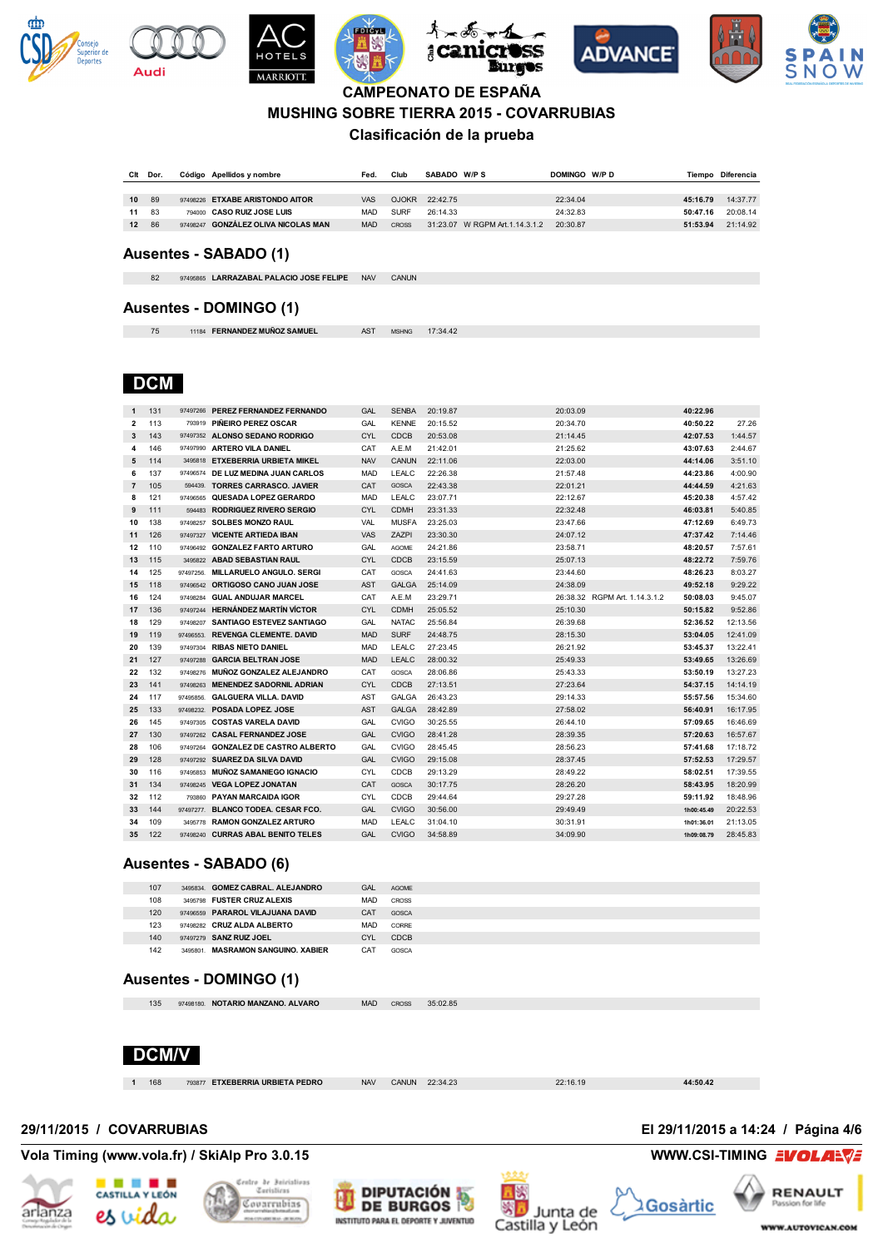











### **MUSHING SOBRE TIERRA 2015 - COVARRUBIAS**

### **Clasificación de la prueba**

| Clt | Dor. | Código Apellidos y nombre           | Fed.       | Club         | SABADO W/PS                     | DOMINGO W/PD |          | Tiempo Diferencia |
|-----|------|-------------------------------------|------------|--------------|---------------------------------|--------------|----------|-------------------|
|     |      |                                     |            |              |                                 |              |          |                   |
| 10  | 89   | 97498226 ETXABE ARISTONDO AITOR     | <b>VAS</b> | <b>OJOKR</b> | 22:42.75                        | 22:34.04     | 45:16.79 | 14:37.77          |
| 11  | 83   | 794000 CASO RUIZ JOSE LUIS          | MAD        | <b>SURF</b>  | 26:14.33                        | 24:32.83     | 50:47.16 | 20:08.14          |
| 12  | 86   | 97498247 GONZÁLEZ OLIVA NICOLAS MAN | <b>MAD</b> | CROSS        | 31:23.07 W RGPM Art. 1.14.3.1.2 | 20:30.87     | 51:53.94 | 21:14.92          |

#### **Ausentes - SABADO (1)**

97495865 **LARRAZABAL PALACIO JOSE FELIPE** NAV CANUN

#### **Ausentes - DOMINGO (1)**

11184 **FERNANDEZ MUÑOZ SAMUEL** AST MSHNG 17:34.42

## **DCM**

**Audi** 

| 1              | 131 |          | 97497266 PEREZ FERNANDEZ FERNANDO   | GAL        | <b>SENBA</b> | 20:19.87 | 20:03.09                      | 40:22.96   |          |
|----------------|-----|----------|-------------------------------------|------------|--------------|----------|-------------------------------|------------|----------|
| $\overline{2}$ | 113 |          | 793919 PINEIRO PEREZ OSCAR          | GAL        | <b>KENNE</b> | 20:15.52 | 20:34.70                      | 40:50.22   | 27.26    |
| 3              | 143 |          | 97497352 ALONSO SEDANO RODRIGO      | <b>CYL</b> | <b>CDCB</b>  | 20:53.08 | 21:14.45                      | 42:07.53   | 1:44.57  |
| 4              | 146 |          | 97497990 ARTERO VILA DANIEL         | CAT        | A.E.M        | 21:42.01 | 21:25.62                      | 43:07.63   | 2:44.67  |
| 5              | 114 |          | 3495818 ETXEBERRIA URBIETA MIKEL    | <b>NAV</b> | CANUN        | 22:11.06 | 22:03.00                      | 44:14.06   | 3:51.10  |
| 6              | 137 |          | 97496574 DE LUZ MEDINA JUAN CARLOS  | <b>MAD</b> | LEALC        | 22:26.38 | 21:57.48                      | 44:23.86   | 4:00.90  |
| $\overline{7}$ | 105 | 594439.  | <b>TORRES CARRASCO, JAVIER</b>      | <b>CAT</b> | GOSCA        | 22:43.38 | 22:01.21                      | 44:44.59   | 4:21.63  |
| 8              | 121 |          | 97496565 QUESADA LOPEZ GERARDO      | <b>MAD</b> | LEALC        | 23:07.71 | 22:12.67                      | 45:20.38   | 4:57.42  |
| 9              | 111 |          | 594483 RODRIGUEZ RIVERO SERGIO      | <b>CYL</b> | <b>CDMH</b>  | 23:31.33 | 22:32.48                      | 46:03.81   | 5:40.85  |
| 10             | 138 | 97498257 | <b>SOLBES MONZO RAUL</b>            | <b>VAL</b> | <b>MUSFA</b> | 23:25.03 | 23:47.66                      | 47:12.69   | 6:49.73  |
| 11             | 126 | 97497327 | <b>VICENTE ARTIEDA IBAN</b>         | <b>VAS</b> | <b>ZAZPI</b> | 23:30.30 | 24:07.12                      | 47:37.42   | 7:14.46  |
| 12             | 110 | 97496492 | <b>GONZALEZ FARTO ARTURO</b>        | GAL        | <b>AGOME</b> | 24:21.86 | 23:58.71                      | 48:20.57   | 7:57.61  |
| 13             | 115 |          | 3495822 ABAD SEBASTIAN RAUL         | <b>CYL</b> | <b>CDCB</b>  | 23:15.59 | 25:07.13                      | 48:22.72   | 7:59.76  |
| 14             | 125 |          | 97497256. MILLARUELO ANGULO. SERGI  | CAT        | GOSCA        | 24:41.63 | 23:44.60                      | 48:26.23   | 8:03.27  |
| 15             | 118 |          | 97496542 ORTIGOSO CANO JUAN JOSE    | <b>AST</b> | <b>GALGA</b> | 25:14.09 | 24:38.09                      | 49:52.18   | 9:29.22  |
| 16             | 124 | 97498284 | <b>GUAL ANDUJAR MARCEL</b>          | CAT        | A.E.M        | 23:29.71 | 26:38.32 RGPM Art. 1.14.3.1.2 | 50:08.03   | 9:45.07  |
| 17             | 136 |          | 97497244 HERNANDEZ MARTIN VICTOR    | <b>CYL</b> | <b>CDMH</b>  | 25:05.52 | 25:10.30                      | 50:15.82   | 9:52.86  |
| 18             | 129 | 97498207 | SANTIAGO ESTEVEZ SANTIAGO           | <b>GAL</b> | <b>NATAC</b> | 25:56.84 | 26:39.68                      | 52:36.52   | 12:13.56 |
| 19             | 119 |          | 97496553. REVENGA CLEMENTE. DAVID   | <b>MAD</b> | <b>SURF</b>  | 24:48.75 | 28:15.30                      | 53:04.05   | 12:41.09 |
| 20             | 139 | 97497304 | <b>RIBAS NIETO DANIEL</b>           | <b>MAD</b> | LEALC        | 27:23.45 | 26:21.92                      | 53:45.37   | 13:22.41 |
| 21             | 127 | 97497288 | <b>GARCIA BELTRAN JOSE</b>          | <b>MAD</b> | LEALC        | 28:00.32 | 25:49.33                      | 53:49.65   | 13:26.69 |
| 22             | 132 |          | 97498276 MUNOZ GONZALEZ ALEJANDRO   | CAT        | GOSCA        | 28:06.86 | 25:43.33                      | 53:50.19   | 13:27.23 |
| 23             | 141 |          | 97498263 MENENDEZ SADORNIL ADRIAN   | <b>CYL</b> | <b>CDCB</b>  | 27:13.51 | 27:23.64                      | 54:37.15   | 14:14.19 |
| 24             | 117 |          | 97495856. GALGUERA VILLA. DAVID     | AST        | GALGA        | 26:43.23 | 29:14.33                      | 55:57.56   | 15:34.60 |
| 25             | 133 |          | 97498232. POSADA LOPEZ. JOSE        | <b>AST</b> | <b>GALGA</b> | 28:42.89 | 27:58.02                      | 56:40.91   | 16:17.95 |
| 26             | 145 | 97497305 | <b>COSTAS VARELA DAVID</b>          | GAL        | <b>CVIGO</b> | 30:25.55 | 26:44.10                      | 57:09.65   | 16:46.69 |
| 27             | 130 |          | 97497262 CASAL FERNANDEZ JOSE       | GAL        | <b>CVIGO</b> | 28:41.28 | 28:39.35                      | 57:20.63   | 16:57.67 |
| 28             | 106 |          | 97497264 GONZALEZ DE CASTRO ALBERTO | <b>GAL</b> | <b>CVIGO</b> | 28:45.45 | 28:56.23                      | 57:41.68   | 17:18.72 |
| 29             | 128 |          | 97497292 SUAREZ DA SILVA DAVID      | GAL        | <b>CVIGO</b> | 29:15.08 | 28:37.45                      | 57:52.53   | 17:29.57 |
| 30             | 116 | 97495853 | <b>MUÑOZ SAMANIEGO IGNACIO</b>      | <b>CYL</b> | CDCB         | 29:13.29 | 28:49.22                      | 58:02.51   | 17:39.55 |
| 31             | 134 |          | 97498245 VEGA LOPEZ JONATAN         | <b>CAT</b> | GOSCA        | 30:17.75 | 28:26.20                      | 58:43.95   | 18:20.99 |
| 32             | 112 | 793860   | <b>PAYAN MARCAIDA IGOR</b>          | <b>CYL</b> | <b>CDCB</b>  | 29:44.64 | 29:27.28                      | 59:11.92   | 18:48.96 |
| 33             | 144 |          | 97497277. BLANCO TODEA. CESAR FCO.  | <b>GAL</b> | <b>CVIGO</b> | 30:56.00 | 29:49.49                      | 1h00:45.49 | 20:22.53 |
| 34             | 109 |          | 3495778 RAMON GONZALEZ ARTURO       | <b>MAD</b> | LEALC        | 31:04.10 | 30:31.91                      | 1h01:36.01 | 21:13.05 |
| 35             | 122 |          | 97498240 CURRAS ABAL BENITO TELES   | GAL        | <b>CVIGO</b> | 34:58.89 | 34:09.90                      | 1h09:08.79 | 28:45.83 |
|                |     |          |                                     |            |              |          |                               |            |          |

#### **Ausentes - SABADO (6)**

| 107 | 3495834. GOMEZ CABRAL. ALEJANDRO  | GAL        | AGOME |
|-----|-----------------------------------|------------|-------|
| 108 | 3495798 FUSTER CRUZ ALEXIS        | <b>MAD</b> | CROSS |
| 120 | 97496559 PARAROL VILAJUANA DAVID  | CAT        | GOSCA |
| 123 | 97498282 CRUZ ALDA ALBERTO        | <b>MAD</b> | CORRE |
| 140 | 97497279 SANZ RUIZ JOEL           | CYL        | CDCB  |
| 142 | 3495801 MASRAMON SANGUINO, XABIER | CAT        | GOSCA |
|     |                                   |            |       |

#### **Ausentes - DOMINGO (1)**

97498180. **NOTARIO MANZANO. ALVARO** MAD CROSS 35:02.85



168 793877 **ETXEBERRIA URBIETA PEDRO** NAV CANUN 22:34.23 22:16.19 **44:50.42**

#### **Vola Timing (www.vola.fr) / SkiAlp Pro 3.0.15 WWW.CSI-TIMING**









**29/11/2015 / COVARRUBIAS El 29/11/2015 a 14:24 / Página 4/6**

Gosàrtic

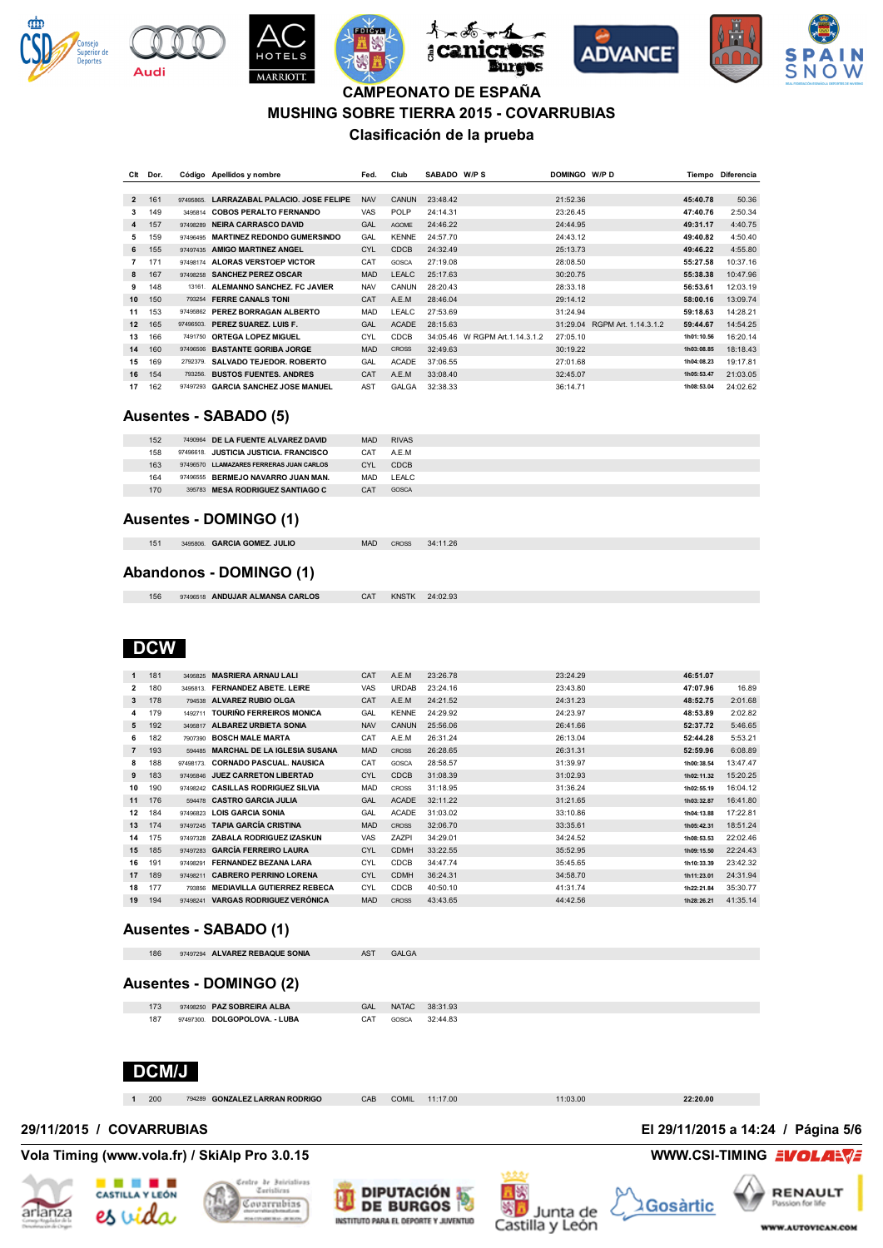

**Audi** 











## **CAMPEONATO DE ESPAÑA MUSHING SOBRE TIERRA 2015 - COVARRUBIAS Clasificación de la prueba**

| Clt            | Dor. |           | Código Apellidos y nombre          | Fed.       | Club         | SABADO W/P S |                        | DOMINGO W/P D |                      | Tiempo     | Diferencia |
|----------------|------|-----------|------------------------------------|------------|--------------|--------------|------------------------|---------------|----------------------|------------|------------|
|                |      |           |                                    |            |              |              |                        |               |                      |            |            |
| $\overline{2}$ | 161  | 97495865. | LARRAZABAL PALACIO. JOSE FELIPE    | <b>NAV</b> | <b>CANUN</b> | 23:48.42     |                        | 21:52.36      |                      | 45:40.78   | 50.36      |
| 3              | 149  | 3495814   | <b>COBOS PERALTO FERNANDO</b>      | <b>VAS</b> | <b>POLP</b>  | 24:14.31     |                        | 23:26.45      |                      | 47:40.76   | 2:50.34    |
| 4              | 157  | 97498289  | <b>NEIRA CARRASCO DAVID</b>        | GAL        | <b>AGOME</b> | 24:46.22     |                        | 24:44.95      |                      | 49:31.17   | 4:40.75    |
| 5              | 159  | 97496495  | <b>MARTINEZ REDONDO GUMERSINDO</b> | GAL        | <b>KENNE</b> | 24:57.70     |                        | 24:43.12      |                      | 49:40.82   | 4:50.40    |
| 6              | 155  | 97497435  | <b>AMIGO MARTINEZ ANGEL</b>        | <b>CYL</b> | <b>CDCB</b>  | 24:32.49     |                        | 25:13.73      |                      | 49:46.22   | 4:55.80    |
| 7              | 171  | 97498174  | ALORAS VERSTOEP VICTOR             | CAT        | <b>GOSCA</b> | 27:19.08     |                        | 28:08.50      |                      | 55:27.58   | 10:37.16   |
| 8              | 167  | 97498258  | <b>SANCHEZ PEREZ OSCAR</b>         | <b>MAD</b> | <b>LEALC</b> | 25:17.63     |                        | 30:20.75      |                      | 55:38.38   | 10:47.96   |
| 9              | 148  | 13161     | ALEMANNO SANCHEZ. FC JAVIER        | <b>NAV</b> | CANUN        | 28:20.43     |                        | 28:33.18      |                      | 56:53.61   | 12:03.19   |
| 10             | 150  | 793254    | <b>FERRE CANALS TONI</b>           | CAT        | A.E.M        | 28:46.04     |                        | 29:14.12      |                      | 58:00.16   | 13:09.74   |
| 11             | 153  | 97495862  | PEREZ BORRAGAN ALBERTO             | <b>MAD</b> | LEALC        | 27:53.69     |                        | 31:24.94      |                      | 59:18.63   | 14:28.21   |
| 12             | 165  | 97496503. | PEREZ SUAREZ, LUIS F.              | GAL        | <b>ACADE</b> | 28:15.63     |                        | 31:29.04      | RGPM Art. 1.14.3.1.2 | 59:44.67   | 14:54.25   |
| 13             | 166  | 7491750   | <b>ORTEGA LOPEZ MIGUEL</b>         | CYL        | CDCB         | 34:05.46     | W RGPM Art. 1.14.3.1.2 | 27:05.10      |                      | 1h01:10.56 | 16:20.14   |
| 14             | 160  | 97496506  | <b>BASTANTE GORIBA JORGE</b>       | <b>MAD</b> | <b>CROSS</b> | 32:49.63     |                        | 30:19.22      |                      | 1h03:08.85 | 18:18.43   |
| 15             | 169  | 2792379.  | SALVADO TEJEDOR, ROBERTO           | GAL        | <b>ACADE</b> | 37:06.55     |                        | 27:01.68      |                      | 1h04:08.23 | 19:17.81   |
| 16             | 154  | 793256.   | <b>BUSTOS FUENTES, ANDRES</b>      | CAT        | A.E.M        | 33:08.40     |                        | 32:45.07      |                      | 1h05:53.47 | 21:03.05   |
| 17             | 162  | 97497293  | <b>GARCIA SANCHEZ JOSE MANUEL</b>  | AST        | <b>GALGA</b> | 32:38.33     |                        | 36:14.71      |                      | 1h08:53.04 | 24:02.62   |

#### **Ausentes - SABADO (5)**

| 152 | 7490964 DE LA FUENTE ALVAREZ DAVID       | <b>MAD</b> | <b>RIVAS</b> |
|-----|------------------------------------------|------------|--------------|
| 158 | 97496618 JUSTICIA JUSTICIA. FRANCISCO    | CAT        | A.E.M        |
| 163 | 97496570 LLAMAZARES FERRERAS JUAN CARLOS | CYL        | <b>CDCB</b>  |
| 164 | 97496555 BERMEJO NAVARRO JUAN MAN.       | <b>MAD</b> | LEALC        |
| 170 | 395783 MESA RODRIGUEZ SANTIAGO C         | CAT        | GOSCA        |
|     |                                          |            |              |

#### **Ausentes - DOMINGO (1)**

| 151 | 3495806. GARCIA GOMEZ. JULIO |  | MAD CROSS 34:11.26 |
|-----|------------------------------|--|--------------------|

### **Abandonos - DOMINGO (1)**

| 156 | 97496518 ANDUJAR ALMANSA CARL |  |
|-----|-------------------------------|--|

97496518 **ANDUJAR ALMANSA CARLOS** CAT KNSTK 24:02.93

## **DCW**

| $\mathbf{1}$   | 181 | 3495825   | <b>MASRIERA ARNAU LALI</b>          | CAT        | A.E.M        | 23:26.78 | 23:24.29 | 46:51.07   |          |
|----------------|-----|-----------|-------------------------------------|------------|--------------|----------|----------|------------|----------|
| $\overline{2}$ | 180 | 3495813   | <b>FERNANDEZ ABETE, LEIRE</b>       | VAS        | <b>URDAB</b> | 23:24.16 | 23:43.80 | 47:07.96   | 16.89    |
| 3              | 178 | 794538    | ALVAREZ RUBIO OLGA                  | CAT        | A.E.M        | 24:21.52 | 24:31.23 | 48:52.75   | 2:01.68  |
| 4              | 179 | 1492711   | <b>TOURIÑO FERREIROS MONICA</b>     | GAL        | <b>KENNE</b> | 24:29.92 | 24:23.97 | 48:53.89   | 2:02.82  |
| 5              | 192 | 3495817   | <b>ALBAREZ URBIETA SONIA</b>        | <b>NAV</b> | CANUN        | 25:56.06 | 26:41.66 | 52:37.72   | 5:46.65  |
| 6              | 182 | 7907390   | <b>BOSCH MALE MARTA</b>             | CAT        | A.E.M        | 26:31.24 | 26:13.04 | 52:44.28   | 5:53.21  |
| $\overline{7}$ | 193 | 594485    | <b>MARCHAL DE LA IGLESIA SUSANA</b> | <b>MAD</b> | <b>CROSS</b> | 26:28.65 | 26:31.31 | 52:59.96   | 6:08.89  |
| 8              | 188 | 97498173. | <b>CORNADO PASCUAL, NAUSICA</b>     | CAT        | GOSCA        | 28:58.57 | 31:39.97 | 1h00:38.54 | 13:47.47 |
| 9              | 183 | 97495846  | <b>JUEZ CARRETON LIBERTAD</b>       | <b>CYL</b> | <b>CDCB</b>  | 31:08.39 | 31:02.93 | 1h02:11.32 | 15:20.25 |
| 10             | 190 | 97498242  | <b>CASILLAS RODRIGUEZ SILVIA</b>    | <b>MAD</b> | <b>CROSS</b> | 31:18.95 | 31:36.24 | 1h02:55.19 | 16:04.12 |
| 11             | 176 | 594478    | <b>CASTRO GARCIA JULIA</b>          | GAL        | <b>ACADE</b> | 32:11.22 | 31:21.65 | 1h03:32.87 | 16:41.80 |
| 12             | 184 | 97496823  | LOIS GARCIA SONIA                   | GAL        | <b>ACADE</b> | 31:03.02 | 33:10.86 | 1h04:13.88 | 17:22.81 |
| 13             | 174 | 97497245  | <b>TAPIA GARCÍA CRISTINA</b>        | <b>MAD</b> | <b>CROSS</b> | 32:06.70 | 33:35.61 | 1h05:42.31 | 18:51.24 |
| 14             | 175 | 97497328  | ZABALA RODRIGUEZ IZASKUN            | VAS        | <b>ZAZPI</b> | 34:29.01 | 34:24.52 | 1h08:53.53 | 22:02.46 |
| 15             | 185 | 97497283  | <b>GARCÍA FERREIRO LAURA</b>        | <b>CYL</b> | <b>CDMH</b>  | 33:22.55 | 35:52.95 | 1h09:15.50 | 22:24.43 |
| 16             | 191 | 97498291  | <b>FERNANDEZ BEZANA LARA</b>        | CYL        | CDCB         | 34:47.74 | 35:45.65 | 1h10:33.39 | 23:42.32 |
| 17             | 189 | 97498211  | <b>CABRERO PERRINO LORENA</b>       | <b>CYL</b> | <b>CDMH</b>  | 36:24.31 | 34:58.70 | 1h11:23.01 | 24:31.94 |
| 18             | 177 | 793856    | <b>MEDIAVILLA GUTIERREZ REBECA</b>  | CYL        | <b>CDCB</b>  | 40:50.10 | 41:31.74 | 1h22:21.84 | 35:30.77 |
| 19             | 194 | 97498241  | <b>VARGAS RODRIGUEZ VERÓNICA</b>    | <b>MAD</b> | <b>CROSS</b> | 43:43.65 | 44:42.56 | 1h28:26.21 | 41:35.14 |

### **Ausentes - SABADO (1)**

| 186                      | 97497294 ALVAREZ REBAQUE SONIA |                                | <b>AST</b> | <b>GALGA</b> |                |          |                                    |  |
|--------------------------|--------------------------------|--------------------------------|------------|--------------|----------------|----------|------------------------------------|--|
|                          | <b>Ausentes - DOMINGO (2)</b>  |                                |            |              |                |          |                                    |  |
| 173                      | 97498250 PAZ SOBREIRA ALBA     |                                | GAL        |              | NATAC 38:31.93 |          |                                    |  |
| 187<br><b>DCM/J</b>      | 97497300. DOLGOPOLOVA. - LUBA  |                                | CAT        | GOSCA        | 32:44.83       |          |                                    |  |
| $1\quad 200$             |                                | 794289 GONZALEZ LARRAN RODRIGO | CAB        | <b>COMIL</b> | 11:17.00       | 11:03.00 | 22:20.00                           |  |
| 29/11/2015 / COVARRUBIAS |                                |                                |            |              |                |          | El 29/11/2015 a 14:24 / Página 5/6 |  |

## **Vola Timing (www.vola.fr) / SkiAlp Pro 3.0.15 WWW.CSI-TIMING EVOLARY**









**2Gosàrtic**